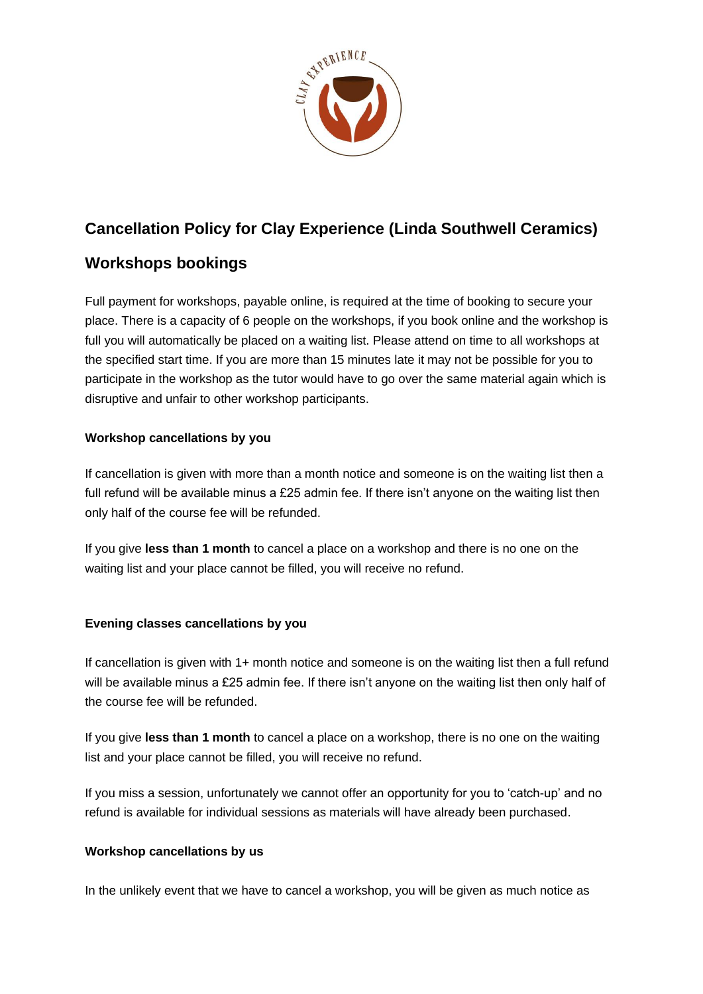

# **Cancellation Policy for Clay Experience (Linda Southwell Ceramics)**

## **Workshops bookings**

Full payment for workshops, payable online, is required at the time of booking to secure your place. There is a capacity of 6 people on the workshops, if you book online and the workshop is full you will automatically be placed on a waiting list. Please attend on time to all workshops at the specified start time. If you are more than 15 minutes late it may not be possible for you to participate in the workshop as the tutor would have to go over the same material again which is disruptive and unfair to other workshop participants.

### **Workshop cancellations by you**

If cancellation is given with more than a month notice and someone is on the waiting list then a full refund will be available minus a £25 admin fee. If there isn't anyone on the waiting list then only half of the course fee will be refunded.

If you give **less than 1 month** to cancel a place on a workshop and there is no one on the waiting list and your place cannot be filled, you will receive no refund.

### **Evening classes cancellations by you**

If cancellation is given with 1+ month notice and someone is on the waiting list then a full refund will be available minus a £25 admin fee. If there isn't anyone on the waiting list then only half of the course fee will be refunded.

If you give **less than 1 month** to cancel a place on a workshop, there is no one on the waiting list and your place cannot be filled, you will receive no refund.

If you miss a session, unfortunately we cannot offer an opportunity for you to 'catch-up' and no refund is available for individual sessions as materials will have already been purchased.

### **Workshop cancellations by us**

In the unlikely event that we have to cancel a workshop, you will be given as much notice as